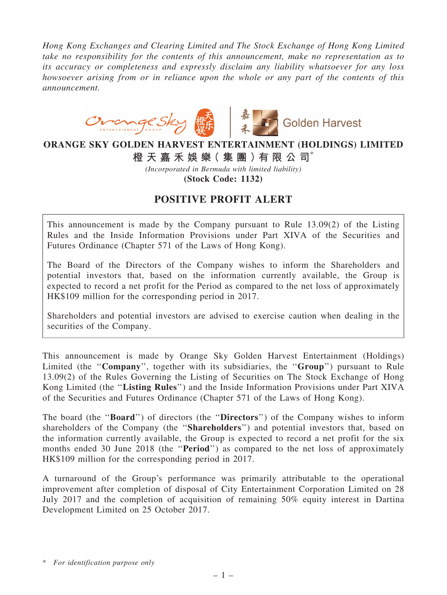*Hong Kong Exchanges and Clearing Limited and The Stock Exchange of Hong Kong Limited take no responsibility for the contents of this announcement, make no representation as to its accuracy or completeness and expressly disclaim any liability whatsoever for any loss howsoever arising from or in reliance upon the whole or any part of the contents of this announcement.*



## ORANGE SKY GOLDEN HARVEST ENTERTAINMENT (HOLDINGS) LIMITED

橙 天 嘉 禾 娛 樂( 集 團 )有 限 公 司\*

*(Incorporated in Bermuda with limited liability)*

(Stock Code: 1132)

## POSITIVE PROFIT ALERT

This announcement is made by the Company pursuant to Rule 13.09(2) of the Listing Rules and the Inside Information Provisions under Part XIVA of the Securities and Futures Ordinance (Chapter 571 of the Laws of Hong Kong).

The Board of the Directors of the Company wishes to inform the Shareholders and potential investors that, based on the information currently available, the Group is expected to record a net profit for the Period as compared to the net loss of approximately HK\$109 million for the corresponding period in 2017.

Shareholders and potential investors are advised to exercise caution when dealing in the securities of the Company.

This announcement is made by Orange Sky Golden Harvest Entertainment (Holdings) Limited (the "Company", together with its subsidiaries, the "Group") pursuant to Rule 13.09(2) of the Rules Governing the Listing of Securities on The Stock Exchange of Hong Kong Limited (the ''Listing Rules'') and the Inside Information Provisions under Part XIVA of the Securities and Futures Ordinance (Chapter 571 of the Laws of Hong Kong).

The board (the "**Board**") of directors (the "**Directors**") of the Company wishes to inform shareholders of the Company (the ''Shareholders'') and potential investors that, based on the information currently available, the Group is expected to record a net profit for the six months ended 30 June 2018 (the "**Period**") as compared to the net loss of approximately HK\$109 million for the corresponding period in 2017.

A turnaround of the Group's performance was primarily attributable to the operational improvement after completion of disposal of City Entertainment Corporation Limited on 28 July 2017 and the completion of acquisition of remaining 50% equity interest in Dartina Development Limited on 25 October 2017.